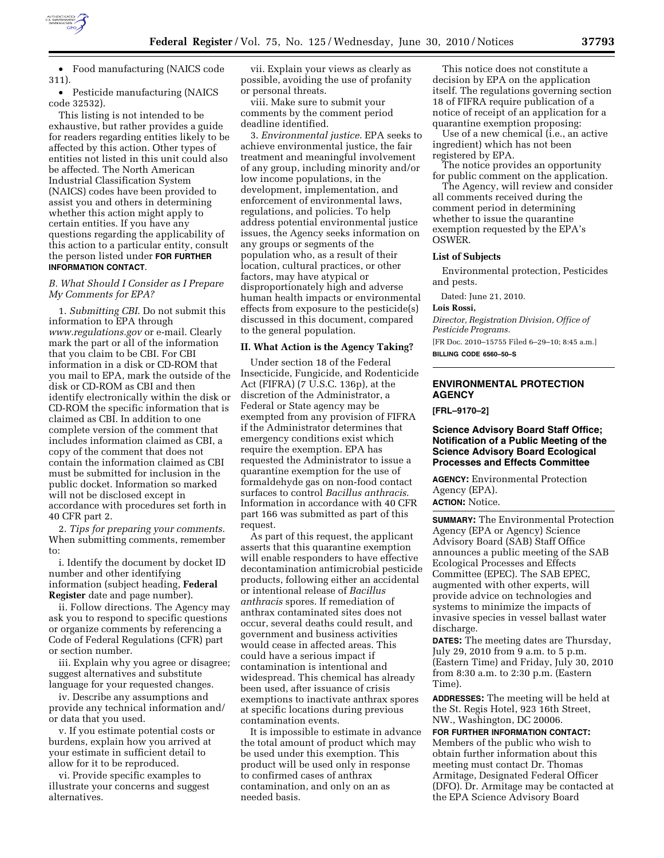

• Food manufacturing (NAICS code 311).

• Pesticide manufacturing (NAICS code 32532).

This listing is not intended to be exhaustive, but rather provides a guide for readers regarding entities likely to be affected by this action. Other types of entities not listed in this unit could also be affected. The North American Industrial Classification System (NAICS) codes have been provided to assist you and others in determining whether this action might apply to certain entities. If you have any questions regarding the applicability of this action to a particular entity, consult the person listed under **FOR FURTHER INFORMATION CONTACT**.

## *B. What Should I Consider as I Prepare My Comments for EPA?*

1. *Submitting CBI*. Do not submit this information to EPA through *www.regulations.gov* or e-mail. Clearly mark the part or all of the information that you claim to be CBI. For CBI information in a disk or CD-ROM that you mail to EPA, mark the outside of the disk or CD-ROM as CBI and then identify electronically within the disk or CD-ROM the specific information that is claimed as CBI. In addition to one complete version of the comment that includes information claimed as CBI, a copy of the comment that does not contain the information claimed as CBI must be submitted for inclusion in the public docket. Information so marked will not be disclosed except in accordance with procedures set forth in 40 CFR part 2.

2. *Tips for preparing your comments*. When submitting comments, remember to:

i. Identify the document by docket ID number and other identifying information (subject heading, **Federal Register** date and page number).

ii. Follow directions. The Agency may ask you to respond to specific questions or organize comments by referencing a Code of Federal Regulations (CFR) part or section number.

iii. Explain why you agree or disagree; suggest alternatives and substitute language for your requested changes.

iv. Describe any assumptions and provide any technical information and/ or data that you used.

v. If you estimate potential costs or burdens, explain how you arrived at your estimate in sufficient detail to allow for it to be reproduced.

vi. Provide specific examples to illustrate your concerns and suggest alternatives.

vii. Explain your views as clearly as possible, avoiding the use of profanity or personal threats.

viii. Make sure to submit your comments by the comment period deadline identified.

3. *Environmental justice*. EPA seeks to achieve environmental justice, the fair treatment and meaningful involvement of any group, including minority and/or low income populations, in the development, implementation, and enforcement of environmental laws, regulations, and policies. To help address potential environmental justice issues, the Agency seeks information on any groups or segments of the population who, as a result of their location, cultural practices, or other factors, may have atypical or disproportionately high and adverse human health impacts or environmental effects from exposure to the pesticide(s) discussed in this document, compared to the general population.

#### **II. What Action is the Agency Taking?**

Under section 18 of the Federal Insecticide, Fungicide, and Rodenticide Act (FIFRA) (7 U.S.C. 136p), at the discretion of the Administrator, a Federal or State agency may be exempted from any provision of FIFRA if the Administrator determines that emergency conditions exist which require the exemption. EPA has requested the Administrator to issue a quarantine exemption for the use of formaldehyde gas on non-food contact surfaces to control *Bacillus anthracis*. Information in accordance with 40 CFR part 166 was submitted as part of this request.

As part of this request, the applicant asserts that this quarantine exemption will enable responders to have effective decontamination antimicrobial pesticide products, following either an accidental or intentional release of *Bacillus anthracis* spores. If remediation of anthrax contaminated sites does not occur, several deaths could result, and government and business activities would cease in affected areas. This could have a serious impact if contamination is intentional and widespread. This chemical has already been used, after issuance of crisis exemptions to inactivate anthrax spores at specific locations during previous contamination events.

It is impossible to estimate in advance the total amount of product which may be used under this exemption. This product will be used only in response to confirmed cases of anthrax contamination, and only on an as needed basis.

This notice does not constitute a decision by EPA on the application itself. The regulations governing section 18 of FIFRA require publication of a notice of receipt of an application for a quarantine exemption proposing:

Use of a new chemical (i.e., an active ingredient) which has not been registered by EPA.

The notice provides an opportunity for public comment on the application.

The Agency, will review and consider all comments received during the comment period in determining whether to issue the quarantine exemption requested by the EPA's OSWER.

## **List of Subjects**

Environmental protection, Pesticides and pests.

Dated: June 21, 2010.

### **Lois Rossi,**

*Director, Registration Division, Office of Pesticide Programs.* 

[FR Doc. 2010–15755 Filed 6–29–10; 8:45 a.m.]

**BILLING CODE 6560–50–S** 

# **ENVIRONMENTAL PROTECTION AGENCY**

**[FRL–9170–2]** 

## **Science Advisory Board Staff Office; Notification of a Public Meeting of the Science Advisory Board Ecological Processes and Effects Committee**

**AGENCY:** Environmental Protection Agency (EPA).

## **ACTION:** Notice.

**SUMMARY:** The Environmental Protection Agency (EPA or Agency) Science Advisory Board (SAB) Staff Office announces a public meeting of the SAB Ecological Processes and Effects Committee (EPEC). The SAB EPEC, augmented with other experts, will provide advice on technologies and systems to minimize the impacts of invasive species in vessel ballast water discharge.

**DATES:** The meeting dates are Thursday, July 29, 2010 from 9 a.m. to 5 p.m. (Eastern Time) and Friday, July 30, 2010 from 8:30 a.m. to 2:30 p.m. (Eastern Time).

**ADDRESSES:** The meeting will be held at the St. Regis Hotel, 923 16th Street, NW., Washington, DC 20006.

**FOR FURTHER INFORMATION CONTACT:**  Members of the public who wish to obtain further information about this meeting must contact Dr. Thomas Armitage, Designated Federal Officer (DFO). Dr. Armitage may be contacted at the EPA Science Advisory Board